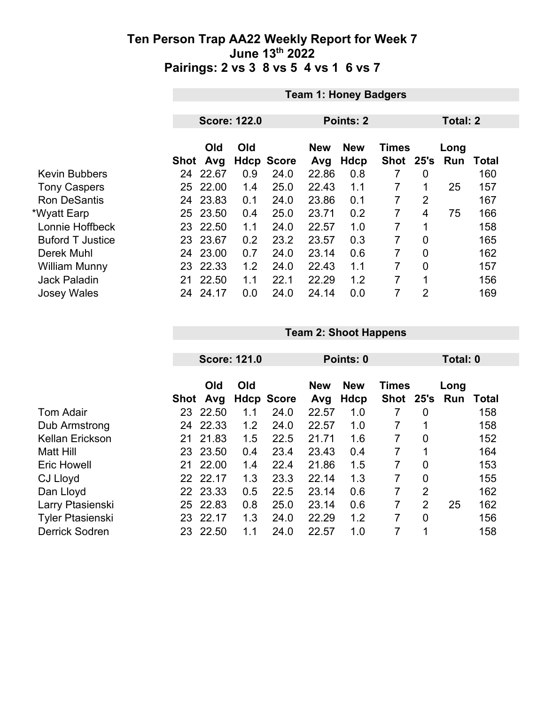|                         | <b>Team 1: Honey Badgers</b> |                     |     |                   |                   |                           |                             |                 |             |       |
|-------------------------|------------------------------|---------------------|-----|-------------------|-------------------|---------------------------|-----------------------------|-----------------|-------------|-------|
|                         |                              |                     |     |                   |                   |                           |                             |                 |             |       |
|                         |                              | <b>Score: 122.0</b> |     |                   |                   | Points: 2                 |                             | <b>Total: 2</b> |             |       |
|                         | Shot                         | Old<br>Avg          | Old | <b>Hdcp Score</b> | <b>New</b><br>Avg | <b>New</b><br><b>Hdcp</b> | <b>Times</b><br><b>Shot</b> | 25's            | Long<br>Run | Total |
| <b>Kevin Bubbers</b>    | 24                           | 22.67               | 0.9 | 24.0              | 22.86             | 0.8                       | 7                           | 0               |             | 160   |
| <b>Tony Caspers</b>     | 25.                          | 22.00               | 1.4 | 25.0              | 22.43             | 1.1                       | 7                           | 1               | 25          | 157   |
| <b>Ron DeSantis</b>     | 24                           | 23.83               | 0.1 | 24.0              | 23.86             | 0.1                       | 7                           | $\overline{2}$  |             | 167   |
| *Wyatt Earp             |                              | 25 23.50            | 0.4 | 25.0              | 23.71             | 0.2                       | 7                           | 4               | 75          | 166   |
| Lonnie Hoffbeck         | 23.                          | 22.50               | 1.1 | 24.0              | 22.57             | 1.0                       | 7                           | 1               |             | 158   |
| <b>Buford T Justice</b> |                              | 23 23.67            | 0.2 | 23.2              | 23.57             | 0.3                       | 7                           | $\mathbf 0$     |             | 165   |
| Derek Muhl              |                              | 24 23.00            | 0.7 | 24.0              | 23.14             | 0.6                       | 7                           | 0               |             | 162   |
| <b>William Munny</b>    | 23                           | 22.33               | 1.2 | 24.0              | 22.43             | 1.1                       | 7                           | $\overline{0}$  |             | 157   |
| <b>Jack Paladin</b>     | 21                           | 22.50               | 1.1 | 22.1              | 22.29             | 1.2                       | 7                           | 1               |             | 156   |
| <b>Josey Wales</b>      | 24                           | 24.17               | 0.0 | 24.0              | 24.14             | 0.0                       | 7                           | $\overline{2}$  |             | 169   |

|                         |      | <b>Score: 121.0</b> |     |                   | Points: 0         |                    |                           |                | Total: 0    |       |  |
|-------------------------|------|---------------------|-----|-------------------|-------------------|--------------------|---------------------------|----------------|-------------|-------|--|
|                         | Shot | Old<br>Avg          | Old | <b>Hdcp Score</b> | <b>New</b><br>Avg | <b>New</b><br>Hdcp | <b>Times</b><br>Shot 25's |                | Long<br>Run | Total |  |
| <b>Tom Adair</b>        | 23   | 22.50               | 1.1 | 24.0              | 22.57             | 1.0                | 7                         | 0              |             | 158   |  |
| Dub Armstrong           | 24   | 22.33               | 1.2 | 24.0              | 22.57             | 1.0                | $\overline{7}$            |                |             | 158   |  |
| <b>Kellan Erickson</b>  | 21   | 21.83               | 1.5 | 22.5              | 21.71             | 1.6                | 7                         | 0              |             | 152   |  |
| Matt Hill               | 23   | 23.50               | 0.4 | 23.4              | 23.43             | 0.4                | 7                         | 1              |             | 164   |  |
| <b>Eric Howell</b>      | 21   | 22.00               | 1.4 | 22.4              | 21.86             | 1.5                | 7                         | $\overline{0}$ |             | 153   |  |
| CJ Lloyd                | 22   | 22.17               | 1.3 | 23.3              | 22.14             | 1.3                | 7                         | $\overline{0}$ |             | 155   |  |
| Dan Lloyd               | 22   | 23.33               | 0.5 | 22.5              | 23.14             | 0.6                | 7                         | $\overline{2}$ |             | 162   |  |
| Larry Ptasienski        | 25   | 22.83               | 0.8 | 25.0              | 23.14             | 0.6                | 7                         | $\overline{2}$ | 25          | 162   |  |
| <b>Tyler Ptasienski</b> | 23   | 22.17               | 1.3 | 24.0              | 22.29             | 1.2                | 7                         | $\overline{0}$ |             | 156   |  |
| <b>Derrick Sodren</b>   | 23   | 22.50               | 1.1 | 24.0              | 22.57             | 1.0                | 7                         | 1              |             | 158   |  |

**Team 2: Shoot Happens**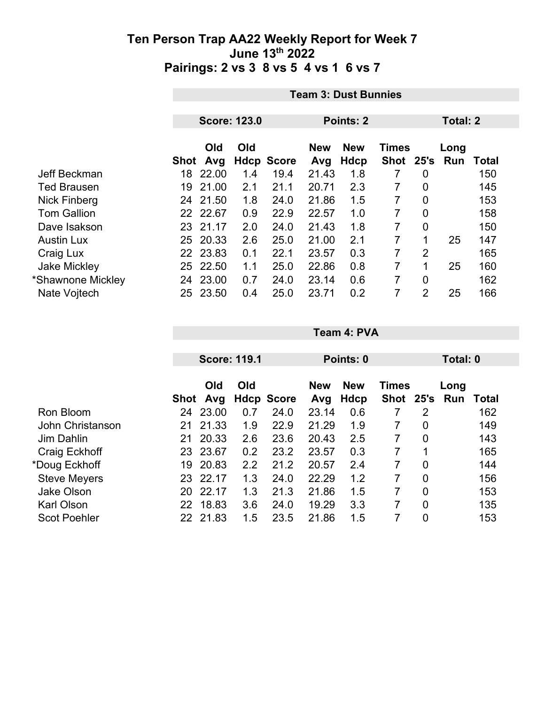|                     |      | <b>Team 3: Dust Bunnies</b> |                     |                   |            |                            |           |                |     |       |  |
|---------------------|------|-----------------------------|---------------------|-------------------|------------|----------------------------|-----------|----------------|-----|-------|--|
|                     |      |                             | <b>Score: 123.0</b> |                   |            | Points: 2                  |           | Total: 2       |     |       |  |
|                     |      | Old<br>Old                  |                     |                   | <b>New</b> | <b>New</b><br><b>Times</b> |           |                |     |       |  |
|                     | Shot | Avg                         |                     | <b>Hdcp Score</b> | Avg        | Hdcp                       | Shot 25's |                | Run | Total |  |
| Jeff Beckman        | 18   | 22.00                       | 1.4                 | 19.4              | 21.43      | 1.8                        | 7         | 0              |     | 150   |  |
| <b>Ted Brausen</b>  | 19   | 21.00                       | 2.1                 | 21.1              | 20.71      | 2.3                        | 7         | 0              |     | 145   |  |
| Nick Finberg        |      | 24 21.50                    | 1.8                 | 24.0              | 21.86      | 1.5                        | 7         | 0              |     | 153   |  |
| <b>Tom Gallion</b>  |      | 22 22.67                    | 0.9                 | 22.9              | 22.57      | 1.0                        | 7         | 0              |     | 158   |  |
| Dave Isakson        |      | 23 21.17                    | 2.0                 | 24.0              | 21.43      | 1.8                        | 7         | 0              |     | 150   |  |
| <b>Austin Lux</b>   |      | 25 20.33                    | 2.6                 | 25.0              | 21.00      | 2.1                        | 7         | 1              | 25  | 147   |  |
| Craig Lux           |      | 22 23.83                    | 0.1                 | 22.1              | 23.57      | 0.3                        | 7         | 2              |     | 165   |  |
| <b>Jake Mickley</b> | 25   | 22.50                       | 1.1                 | 25.0              | 22.86      | 0.8                        | 7         | 1              | 25  | 160   |  |
| *Shawnone Mickley   | 24   | 23.00                       | 0.7                 | 24.0              | 23.14      | 0.6                        | 7         | 0              |     | 162   |  |
| Nate Vojtech        | 25   | 23.50                       | 0.4                 | 25.0              | 23.71      | 0.2                        | 7         | $\overline{2}$ | 25  | 166   |  |

|                     | <b>Score: 119.1</b> |            |     |                   | Points: 0         | Total: 0           |                             |                |             |       |
|---------------------|---------------------|------------|-----|-------------------|-------------------|--------------------|-----------------------------|----------------|-------------|-------|
|                     | Shot                | Old<br>Avg | Old | <b>Hdcp Score</b> | <b>New</b><br>Avg | <b>New</b><br>Hdcp | <b>Times</b><br><b>Shot</b> | 25's           | Long<br>Run | Total |
| Ron Bloom           | 24                  | 23.00      | 0.7 | 24.0              | 23.14             | 0.6                | 7                           | $\overline{2}$ |             | 162   |
| John Christanson    | 21                  | 21.33      | 1.9 | 22.9              | 21.29             | 1.9                |                             | 0              |             | 149   |
| <b>Jim Dahlin</b>   | 21                  | 20.33      | 2.6 | 23.6              | 20.43             | 2.5                | 7                           | 0              |             | 143   |
| Craig Eckhoff       | 23                  | 23.67      | 0.2 | 23.2              | 23.57             | 0.3                | 7                           | 1              |             | 165   |
| *Doug Eckhoff       | 19                  | 20.83      | 2.2 | 21.2              | 20.57             | 2.4                | 7                           | $\overline{0}$ |             | 144   |
| <b>Steve Meyers</b> | 23                  | 22.17      | 1.3 | 24.0              | 22.29             | 1.2                | 7                           | $\overline{0}$ |             | 156   |
| <b>Jake Olson</b>   | 20                  | 22.17      | 1.3 | 21.3              | 21.86             | 1.5                | 7                           | $\overline{0}$ |             | 153   |
| <b>Karl Olson</b>   | 22                  | 18.83      | 3.6 | 24.0              | 19.29             | 3.3                | 7                           | $\overline{0}$ |             | 135   |
| <b>Scot Poehler</b> | 22                  | 21.83      | 1.5 | 23.5              | 21.86             | 1.5                |                             | 0              |             | 153   |

**Team 4: PVA**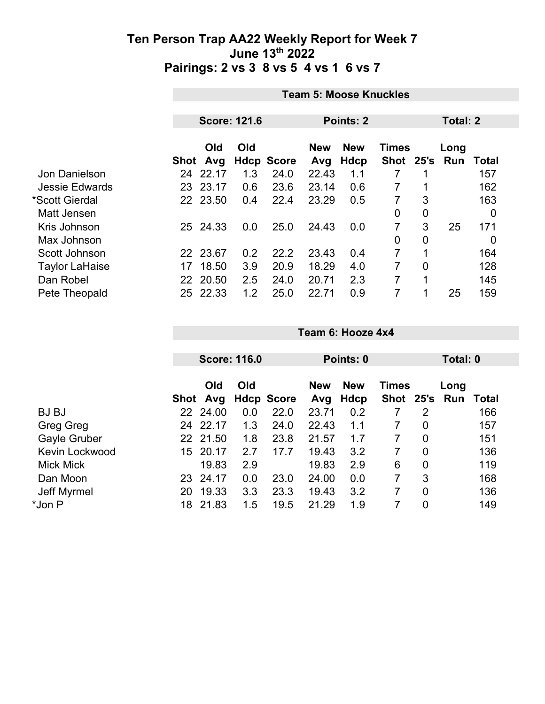|                       | <b>Team 5: Moose Knuckles</b> |                 |                     |                   |                   |                           |                           |                 |             |       |
|-----------------------|-------------------------------|-----------------|---------------------|-------------------|-------------------|---------------------------|---------------------------|-----------------|-------------|-------|
|                       |                               |                 | <b>Score: 121.6</b> |                   |                   | <b>Points: 2</b>          |                           | <b>Total: 2</b> |             |       |
|                       |                               | Old<br>Shot Avg | Old                 | <b>Hdcp Score</b> | <b>New</b><br>Avg | <b>New</b><br><b>Hdcp</b> | <b>Times</b><br>Shot 25's |                 | Long<br>Run | Total |
| Jon Danielson         | 24                            | 22.17           | 1.3                 | 24.0              | 22.43             | 1.1                       |                           |                 |             | 157   |
| <b>Jessie Edwards</b> | 23                            | 23.17           | 0.6                 | 23.6              | 23.14             | 0.6                       | 7                         |                 |             | 162   |
| *Scott Gierdal        |                               | 22 23.50        | 0.4                 | 22.4              | 23.29             | 0.5                       | 7                         | 3               |             | 163   |
| Matt Jensen           |                               |                 |                     |                   |                   |                           | 0                         | $\mathbf 0$     |             | 0     |
| Kris Johnson          |                               | 25 24.33        | 0.0                 | 25.0              | 24.43             | 0.0                       | 7                         | 3               | 25          | 171   |
| Max Johnson           |                               |                 |                     |                   |                   |                           | 0                         | $\mathbf 0$     |             | 0     |
| Scott Johnson         |                               | 22 23.67        | 0.2                 | 22.2              | 23.43             | 0.4                       | 7                         | 1               |             | 164   |
| <b>Taylor LaHaise</b> | 17                            | 18.50           | 3.9                 | 20.9              | 18.29             | 4.0                       | 7                         | $\overline{0}$  |             | 128   |
| Dan Robel             |                               | 22 20.50        | 2.5                 | 24.0              | 20.71             | 2.3                       | 7                         | 1               |             | 145   |
| Pete Theopald         | 25                            | 22.33           | 1.2                 | 25.0              | 22.71             | 0.9                       | 7                         | 1               | 25          | 159   |

|    |            |                                                         |                     | Points: 0         |                           |   |                | Total: 0     |           |
|----|------------|---------------------------------------------------------|---------------------|-------------------|---------------------------|---|----------------|--------------|-----------|
|    | Old<br>Avg | Old                                                     |                     | <b>New</b><br>Avg | <b>New</b><br><b>Hdcp</b> |   |                | Long<br>Run  | Total     |
|    |            | 0.0                                                     | 22.0                | 23.71             | 0.2                       |   | 2              |              | 166       |
| 24 |            | 1.3                                                     | 24.0                | 22.43             | 1.1                       | 7 | $\mathbf 0$    |              | 157       |
|    |            | 1.8                                                     | 23.8                | 21.57             | 1.7                       | 7 | $\mathbf 0$    |              | 151       |
| 15 |            | 2.7                                                     | 17.7                | 19.43             | 3.2                       |   | $\mathbf 0$    |              | 136       |
|    | 19.83      | 2.9                                                     |                     | 19.83             | 2.9                       | 6 | $\mathbf 0$    |              | 119       |
| 23 |            | 0.0                                                     | 23.0                | 24.00             | 0.0                       | 7 | 3              |              | 168       |
| 20 | 19.33      | 3.3                                                     | 23.3                | 19.43             | 3.2                       |   | $\overline{0}$ |              | 136       |
| 18 | 21.83      | 1.5                                                     | 19.5                | 21.29             | 1.9                       |   | $\overline{0}$ |              | 149       |
|    |            | Shot<br>22 24.00<br>22.17<br>22 21.50<br>20.17<br>24.17 | <b>Score: 116.0</b> | <b>Hdcp Score</b> |                           |   |                | <b>Times</b> | Shot 25's |

**Team 6: Hooze 4x4**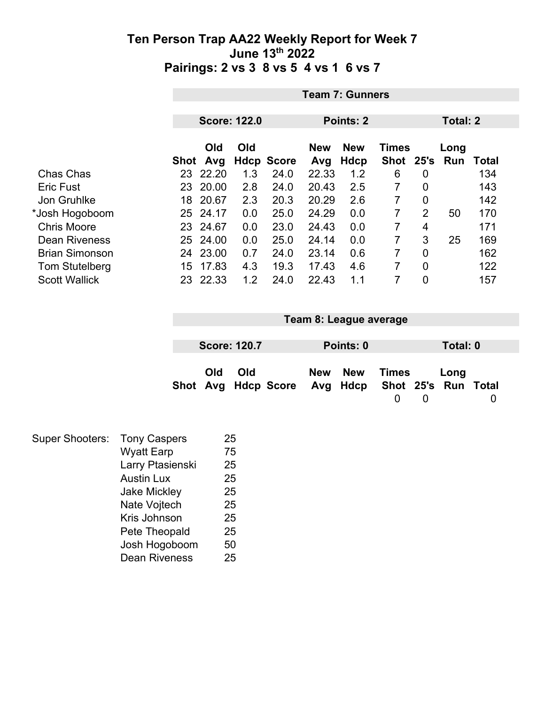|                       | <b>Team 7: Gunners</b>           |            |     |                   |            |            |                |                |                 |       |  |
|-----------------------|----------------------------------|------------|-----|-------------------|------------|------------|----------------|----------------|-----------------|-------|--|
|                       | <b>Score: 122.0</b><br>Points: 2 |            |     |                   |            |            |                |                | <b>Total: 2</b> |       |  |
|                       |                                  |            |     |                   |            |            |                |                |                 |       |  |
|                       |                                  | <b>Old</b> | Old |                   | <b>New</b> | <b>New</b> | <b>Times</b>   |                | Long            |       |  |
|                       | Shot                             | Avg        |     | <b>Hdcp Score</b> | Avg        | Hdcp       | <b>Shot</b>    | 25's           | Run             | Total |  |
| Chas Chas             | 23                               | 22.20      | 1.3 | 24.0              | 22.33      | 1.2        | 6              | 0              |                 | 134   |  |
| <b>Eric Fust</b>      | 23                               | 20.00      | 2.8 | 24.0              | 20.43      | 2.5        | 7              | 0              |                 | 143   |  |
| Jon Gruhlke           | 18                               | 20.67      | 2.3 | 20.3              | 20.29      | 2.6        | 7              | 0              |                 | 142   |  |
| *Josh Hogoboom        | 25                               | 24.17      | 0.0 | 25.0              | 24.29      | 0.0        | $\overline{7}$ | $\overline{2}$ | 50              | 170   |  |
| <b>Chris Moore</b>    |                                  | 23 24.67   | 0.0 | 23.0              | 24.43      | 0.0        | 7              | 4              |                 | 171   |  |
| <b>Dean Riveness</b>  | 25                               | 24.00      | 0.0 | 25.0              | 24.14      | 0.0        | 7              | 3              | 25              | 169   |  |
| <b>Brian Simonson</b> | 24                               | 23.00      | 0.7 | 24.0              | 23.14      | 0.6        | 7              | 0              |                 | 162   |  |
| Tom Stutelberg        | 15                               | 17.83      | 4.3 | 19.3              | 17.43      | 4.6        | 7              | 0              |                 | 122   |  |
| <b>Scott Wallick</b>  | 23                               | 22.33      | 1.2 | 24.0              | 22.43      | 1.1        | 7              | 0              |                 | 157   |  |

| Team 8: League average                                               |  |  |  |  |  |  |  |  |  |
|----------------------------------------------------------------------|--|--|--|--|--|--|--|--|--|
|                                                                      |  |  |  |  |  |  |  |  |  |
| <b>Score: 120.7</b><br>Points: 0                                     |  |  |  |  |  |  |  |  |  |
| New New<br>Times<br>Shot Avg Hdcp Score Avg Hdcp Shot 25's Run Total |  |  |  |  |  |  |  |  |  |

| <b>Super Shooters:</b> | <b>Tony Caspers</b>  | 25 |
|------------------------|----------------------|----|
|                        | <b>Wyatt Earp</b>    | 75 |
|                        | Larry Ptasienski     | 25 |
|                        | <b>Austin Lux</b>    | 25 |
|                        | <b>Jake Mickley</b>  | 25 |
|                        | Nate Vojtech         | 25 |
|                        | Kris Johnson         | 25 |
|                        | Pete Theopald        | 25 |
|                        | Josh Hogoboom        | 50 |
|                        | <b>Dean Riveness</b> | 25 |
|                        |                      |    |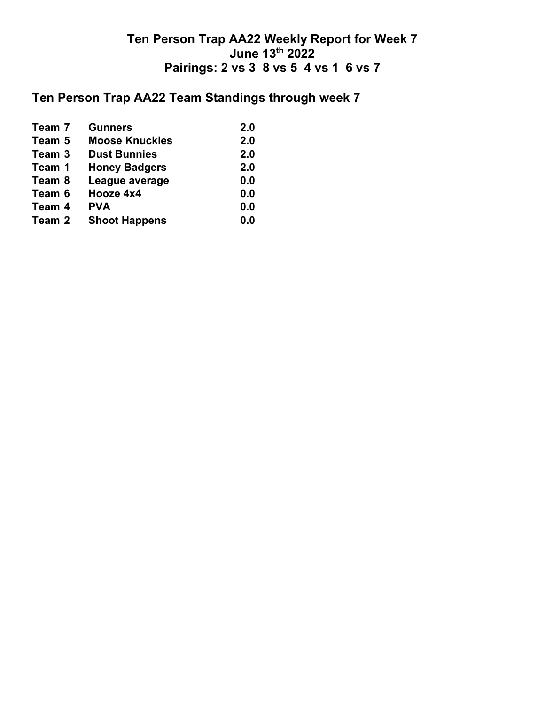## **Ten Person Trap AA22 Team Standings through week 7**

| Team 7 | <b>Gunners</b>        | 2.0 |
|--------|-----------------------|-----|
| Team 5 | <b>Moose Knuckles</b> | 2.0 |
| Team 3 | <b>Dust Bunnies</b>   | 2.0 |
| Team 1 | <b>Honey Badgers</b>  | 2.0 |
| Team 8 | League average        | 0.0 |
| Team 6 | Hooze 4x4             | 0.0 |
| Team 4 | <b>PVA</b>            | 0.0 |
| Team 2 | <b>Shoot Happens</b>  | 0.0 |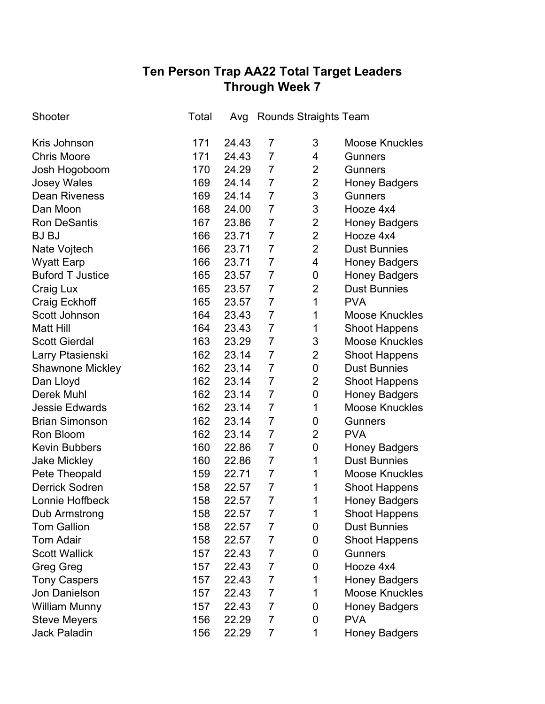# **Ten Person Trap AA22 Total Target Leaders Through Week 7**

| Shooter                 | Total | Avg   |                | <b>Rounds Straights Team</b> |                       |
|-------------------------|-------|-------|----------------|------------------------------|-----------------------|
| Kris Johnson            | 171   | 24.43 | 7              | 3                            | <b>Moose Knuckles</b> |
| <b>Chris Moore</b>      | 171   | 24.43 | $\overline{7}$ | 4                            | <b>Gunners</b>        |
| Josh Hogoboom           | 170   | 24.29 | $\overline{7}$ | $\overline{2}$               | <b>Gunners</b>        |
| <b>Josey Wales</b>      | 169   | 24.14 | $\overline{7}$ | $\overline{2}$               | <b>Honey Badgers</b>  |
| <b>Dean Riveness</b>    | 169   | 24.14 | $\overline{7}$ | 3                            | <b>Gunners</b>        |
| Dan Moon                | 168   | 24.00 | $\overline{7}$ | 3                            | Hooze 4x4             |
| <b>Ron DeSantis</b>     | 167   | 23.86 | $\overline{7}$ | $\overline{2}$               | <b>Honey Badgers</b>  |
| <b>BJ BJ</b>            | 166   | 23.71 | $\overline{7}$ | $\overline{2}$               | Hooze 4x4             |
| Nate Vojtech            | 166   | 23.71 | $\overline{7}$ | $\overline{2}$               | <b>Dust Bunnies</b>   |
| <b>Wyatt Earp</b>       | 166   | 23.71 | $\overline{7}$ | 4                            | <b>Honey Badgers</b>  |
| <b>Buford T Justice</b> | 165   | 23.57 | $\overline{7}$ | 0                            | <b>Honey Badgers</b>  |
| Craig Lux               | 165   | 23.57 | $\overline{7}$ | $\overline{2}$               | <b>Dust Bunnies</b>   |
| Craig Eckhoff           | 165   | 23.57 | $\overline{7}$ | 1                            | <b>PVA</b>            |
| Scott Johnson           | 164   | 23.43 | $\overline{7}$ | 1                            | <b>Moose Knuckles</b> |
| <b>Matt Hill</b>        | 164   | 23.43 | $\overline{7}$ | 1                            | <b>Shoot Happens</b>  |
| <b>Scott Gierdal</b>    | 163   | 23.29 | $\overline{7}$ | 3                            | <b>Moose Knuckles</b> |
| Larry Ptasienski        | 162   | 23.14 | $\overline{7}$ | $\overline{2}$               | <b>Shoot Happens</b>  |
| <b>Shawnone Mickley</b> | 162   | 23.14 | $\overline{7}$ | 0                            | <b>Dust Bunnies</b>   |
| Dan Lloyd               | 162   | 23.14 | $\overline{7}$ | $\overline{2}$               | <b>Shoot Happens</b>  |
| <b>Derek Muhl</b>       | 162   | 23.14 | $\overline{7}$ | 0                            | <b>Honey Badgers</b>  |
| <b>Jessie Edwards</b>   | 162   | 23.14 | $\overline{7}$ | 1                            | <b>Moose Knuckles</b> |
| <b>Brian Simonson</b>   | 162   | 23.14 | $\overline{7}$ | 0                            | <b>Gunners</b>        |
| Ron Bloom               | 162   | 23.14 | 7              | $\overline{2}$               | <b>PVA</b>            |
| <b>Kevin Bubbers</b>    | 160   | 22.86 | $\overline{7}$ | 0                            | <b>Honey Badgers</b>  |
| <b>Jake Mickley</b>     | 160   | 22.86 | 7              | 1                            | <b>Dust Bunnies</b>   |
| Pete Theopald           | 159   | 22.71 | $\overline{7}$ | 1                            | <b>Moose Knuckles</b> |
| <b>Derrick Sodren</b>   | 158   | 22.57 | 7              | 1                            | <b>Shoot Happens</b>  |
| Lonnie Hoffbeck         | 158   | 22.57 | $\overline{7}$ | 1                            | <b>Honey Badgers</b>  |
| Dub Armstrong           | 158   | 22.57 | 7              | 1                            | <b>Shoot Happens</b>  |
| <b>Tom Gallion</b>      | 158   | 22.57 | 7              | 0                            | <b>Dust Bunnies</b>   |
| <b>Tom Adair</b>        | 158   | 22.57 | 7              | 0                            | <b>Shoot Happens</b>  |
| <b>Scott Wallick</b>    | 157   | 22.43 | $\overline{7}$ | 0                            | <b>Gunners</b>        |
| Greg Greg               | 157   | 22.43 | $\overline{7}$ | 0                            | Hooze 4x4             |
| <b>Tony Caspers</b>     | 157   | 22.43 | 7              | 1                            | <b>Honey Badgers</b>  |
| Jon Danielson           | 157   | 22.43 | 7              | 1                            | <b>Moose Knuckles</b> |
| <b>William Munny</b>    | 157   | 22.43 | $\overline{7}$ | 0                            | <b>Honey Badgers</b>  |
| <b>Steve Meyers</b>     | 156   | 22.29 | $\overline{7}$ | 0                            | <b>PVA</b>            |
| <b>Jack Paladin</b>     | 156   | 22.29 | 7              | 1                            | <b>Honey Badgers</b>  |